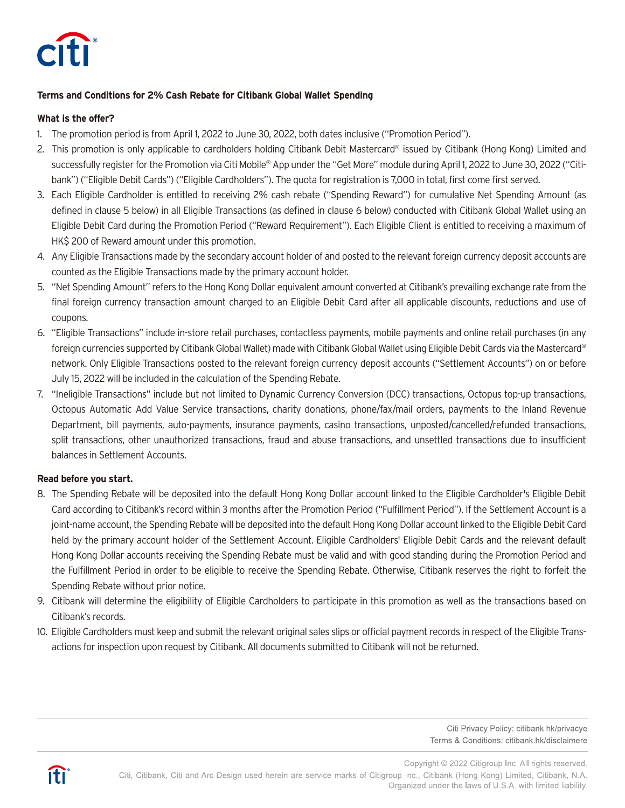

# **Terms and Conditions for 2% Cash Rebate for Citibank Global Wallet Spending**

## **What is the offer?**

- 1. The promotion period is from April 1, 2022 to June 30, 2022, both dates inclusive ("Promotion Period").
- 2. This promotion is only applicable to cardholders holding Citibank Debit Mastercard® issued by Citibank (Hong Kong) Limited and successfully register for the Promotion via Citi Mobile® App under the "Get More" module during April 1, 2022 to June 30, 2022 ("Citibank") ("Eligible Debit Cards") ("Eligible Cardholders"). The quota for registration is 7,000 in total, first come first served.
- 3. Each Eligible Cardholder is entitled to receiving 2% cash rebate ("Spending Reward") for cumulative Net Spending Amount (as defined in clause 5 below) in all Eligible Transactions (as defined in clause 6 below) conducted with Citibank Global Wallet using an Eligible Debit Card during the Promotion Period ("Reward Requirement"). Each Eligible Client is entitled to receiving a maximum of HK\$ 200 of Reward amount under this promotion.
- 4. Any Eligible Transactions made by the secondary account holder of and posted to the relevant foreign currency deposit accounts are counted as the Eligible Transactions made by the primary account holder.
- 5. "Net Spending Amount" refers to the Hong Kong Dollar equivalent amount converted at Citibank's prevailing exchange rate from the final foreign currency transaction amount charged to an Eligible Debit Card after all applicable discounts, reductions and use of coupons.
- 6. "Eligible Transactions" include in-store retail purchases, contactless payments, mobile payments and online retail purchases (in any foreign currencies supported by Citibank Global Wallet) made with Citibank Global Wallet using Eligible Debit Cards via the Mastercard® network. Only Eligible Transactions posted to the relevant foreign currency deposit accounts ("Settlement Accounts") on or before July 15, 2022 will be included in the calculation of the Spending Rebate.
- 7. "Ineligible Transactions" include but not limited to Dynamic Currency Conversion (DCC) transactions, Octopus top-up transactions, Octopus Automatic Add Value Service transactions, charity donations, phone/fax/mail orders, payments to the Inland Revenue Department, bill payments, auto-payments, insurance payments, casino transactions, unposted/cancelled/refunded transactions, split transactions, other unauthorized transactions, fraud and abuse transactions, and unsettled transactions due to insufficient balances in Settlement Accounts.

## **Read before you start.**

- 8. The Spending Rebate will be deposited into the default Hong Kong Dollar account linked to the Eligible Cardholder's Eligible Debit Card according to Citibank's record within 3 months after the Promotion Period ("Fulfillment Period"). If the Settlement Account is a joint-name account, the Spending Rebate will be deposited into the default Hong Kong Dollar account linked to the Eligible Debit Card held by the primary account holder of the Settlement Account. Eligible Cardholders' Eligible Debit Cards and the relevant default Hong Kong Dollar accounts receiving the Spending Rebate must be valid and with good standing during the Promotion Period and the Fulfillment Period in order to be eligible to receive the Spending Rebate. Otherwise, Citibank reserves the right to forfeit the Spending Rebate without prior notice.
- 9. Citibank will determine the eligibility of Eligible Cardholders to participate in this promotion as well as the transactions based on Citibank's records.
- 10. Eligible Cardholders must keep and submit the relevant original sales slips or official payment records in respect of the Eligible Transactions for inspection upon request by Citibank. All documents submitted to Citibank will not be returned.